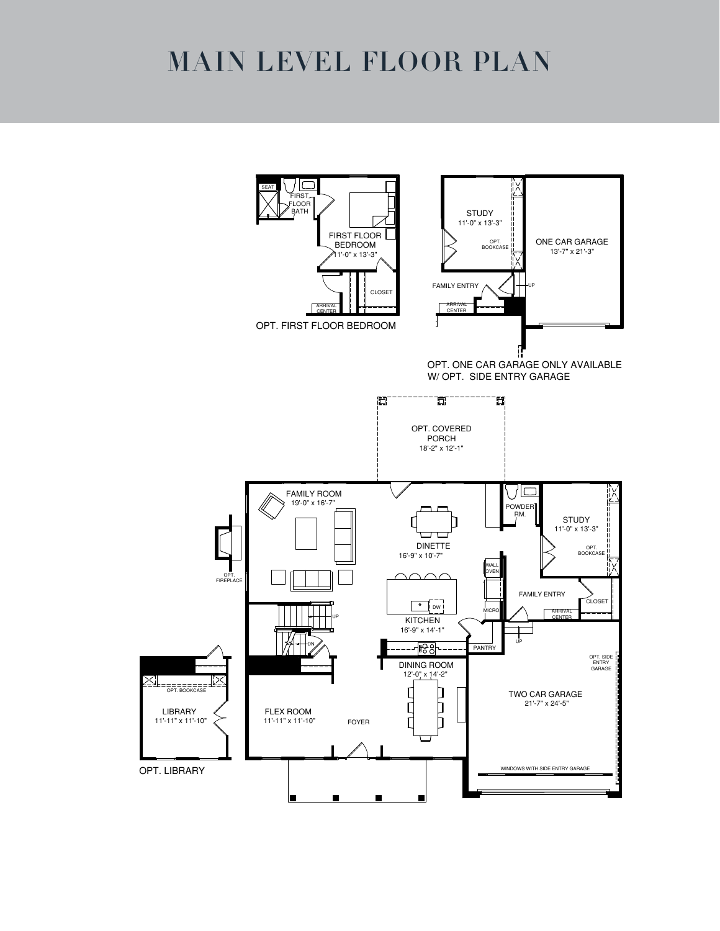## MAIN LEVEL FLOOR PLAN

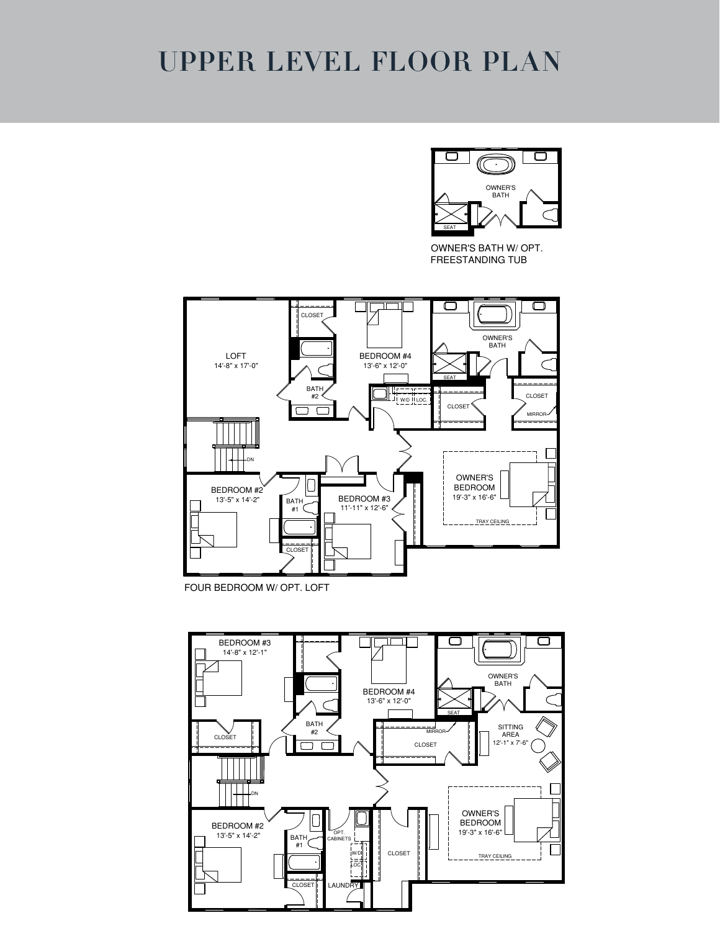### UPPER LEVEL FLOOR PLAN

![](_page_1_Picture_1.jpeg)

OWNER'S BATH W/ OPT. FREESTANDING TUB

![](_page_1_Figure_3.jpeg)

FOUR BEDROOM W/ OPT. LOFT

![](_page_1_Figure_5.jpeg)